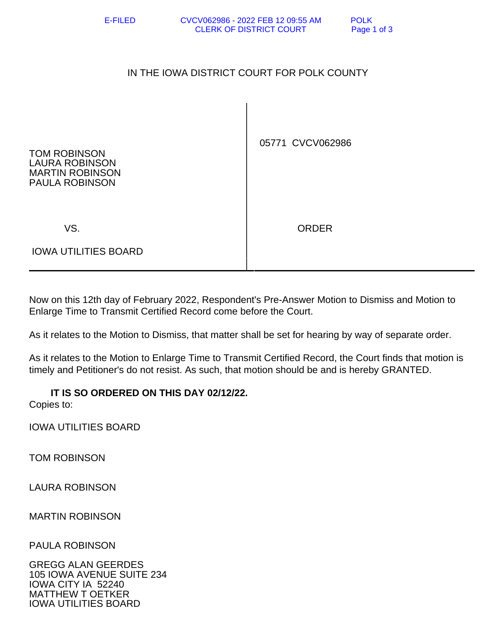## IN THE IOWA DISTRICT COURT FOR POLK COUNTY

| <b>TOM ROBINSON</b>   |
|-----------------------|
| LAURA ROBINSON        |
| MARTIN ROBINSON       |
| <b>PAULA ROBINSON</b> |

05771 CVCV062986

VS. ORDER

IOWA UTILITIES BOARD

Now on this 12th day of February 2022, Respondent's Pre-Answer Motion to Dismiss and Motion to Enlarge Time to Transmit Certified Record come before the Court.

As it relates to the Motion to Dismiss, that matter shall be set for hearing by way of separate order.

As it relates to the Motion to Enlarge Time to Transmit Certified Record, the Court finds that motion is timely and Petitioner's do not resist. As such, that motion should be and is hereby GRANTED.

## **IT IS SO ORDERED ON THIS DAY 02/12/22.**

Copies to:

IOWA UTILITIES BOARD

TOM ROBINSON

LAURA ROBINSON

MARTIN ROBINSON

PAULA ROBINSON

GREGG ALAN GEERDES 105 IOWA AVENUE SUITE 234 IOWA CITY IA 52240 MATTHEW T OETKER IOWA UTILITIES BOARD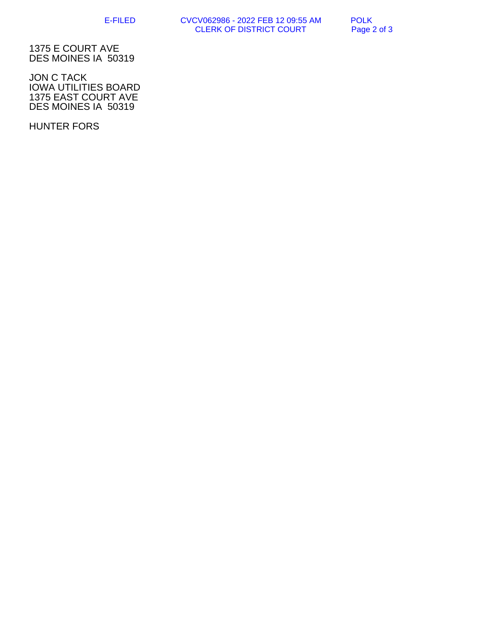E-FILED CVCV062986 - 2022 FEB 12 09:55 AM POLK CLERK OF DISTRICT COURT Page 2 of 3

1375 E COURT AVE DES MOINES IA 50319

JON C TACK IOWA UTILITIES BOARD 1375 EAST COURT AVE DES MOINES IA 50319

HUNTER FORS